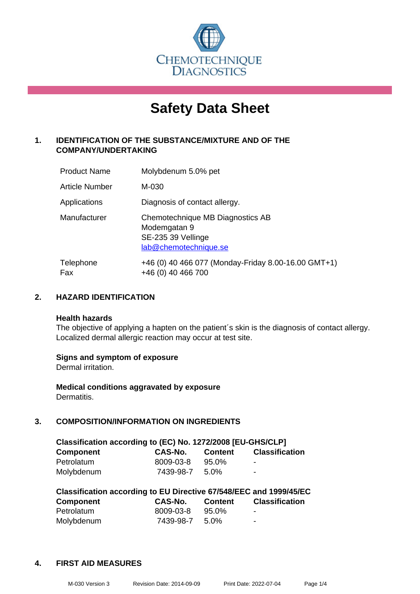

# **Safety Data Sheet**

# **1. IDENTIFICATION OF THE SUBSTANCE/MIXTURE AND OF THE COMPANY/UNDERTAKING**

| <b>Product Name</b>   | Molybdenum 5.0% pet                                                                             |
|-----------------------|-------------------------------------------------------------------------------------------------|
| <b>Article Number</b> | M-030                                                                                           |
| Applications          | Diagnosis of contact allergy.                                                                   |
| Manufacturer          | Chemotechnique MB Diagnostics AB<br>Modemgatan 9<br>SE-235 39 Vellinge<br>lab@chemotechnique.se |
| Telephone<br>Fax      | +46 (0) 40 466 077 (Monday-Friday 8.00-16.00 GMT+1)<br>+46 (0) 40 466 700                       |

# **2. HAZARD IDENTIFICATION**

#### **Health hazards**

The objective of applying a hapten on the patient's skin is the diagnosis of contact allergy. Localized dermal allergic reaction may occur at test site.

#### **Signs and symptom of exposure**

Dermal irritation.

**Medical conditions aggravated by exposure** Dermatitis.

# **3. COMPOSITION/INFORMATION ON INGREDIENTS**

| Classification according to (EC) No. 1272/2008 [EU-GHS/CLP] |           |                |                       |  |  |
|-------------------------------------------------------------|-----------|----------------|-----------------------|--|--|
| <b>Component</b>                                            | CAS-No.   | <b>Content</b> | <b>Classification</b> |  |  |
| Petrolatum                                                  | 8009-03-8 | 95.0%          | -                     |  |  |
| Molybdenum                                                  | 7439-98-7 | .5.0%          | $\blacksquare$        |  |  |

| Classification according to EU Directive 67/548/EEC and 1999/45/EC |           |         |                       |  |  |
|--------------------------------------------------------------------|-----------|---------|-----------------------|--|--|
| <b>Component</b>                                                   | CAS-No.   | Content | <b>Classification</b> |  |  |
| Petrolatum                                                         | 8009-03-8 | 95.0%   | -                     |  |  |
| Molybdenum                                                         | 7439-98-7 | .5.0%   | -                     |  |  |

#### **4. FIRST AID MEASURES**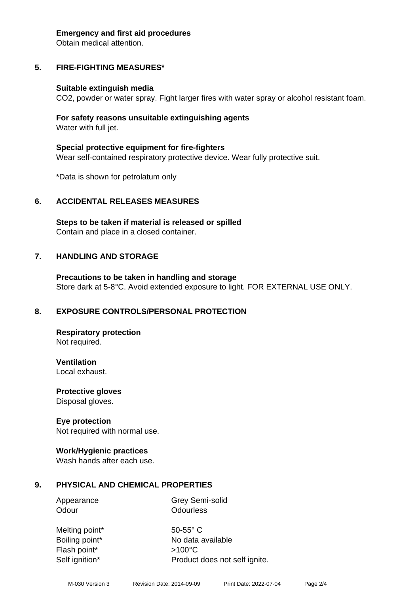#### **Emergency and first aid procedures**

Obtain medical attention.

# **5. FIRE-FIGHTING MEASURES\***

#### **Suitable extinguish media**

CO2, powder or water spray. Fight larger fires with water spray or alcohol resistant foam.

#### **For safety reasons unsuitable extinguishing agents** Water with full jet.

**Special protective equipment for fire-fighters** Wear self-contained respiratory protective device. Wear fully protective suit.

\*Data is shown for petrolatum only

#### **6. ACCIDENTAL RELEASES MEASURES**

**Steps to be taken if material is released or spilled** Contain and place in a closed container.

#### **7. HANDLING AND STORAGE**

**Precautions to be taken in handling and storage** Store dark at 5-8°C. Avoid extended exposure to light. FOR EXTERNAL USE ONLY.

#### **8. EXPOSURE CONTROLS/PERSONAL PROTECTION**

**Respiratory protection** Not required.

**Ventilation**

Local exhaust.

**Protective gloves** Disposal gloves.

#### **Eye protection**

Not required with normal use.

#### **Work/Hygienic practices**

Wash hands after each use.

#### **9. PHYSICAL AND CHEMICAL PROPERTIES**

Appearance Grey Semi-solid Odour **Odourless** 

Melting point\* 50-55° C Flash point\* >100°C

Boiling point\* No data available Self ignition\* Product does not self ignite.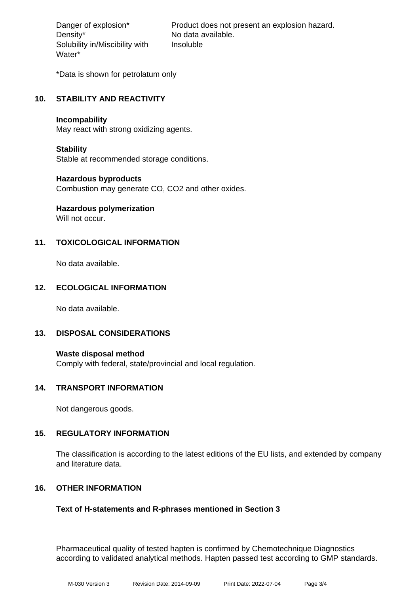Density\* No data available. Solubility in/Miscibility with Water\*

Danger of explosion\* Product does not present an explosion hazard. Insoluble

\*Data is shown for petrolatum only

# **10. STABILITY AND REACTIVITY**

#### **Incompability**

May react with strong oxidizing agents.

#### **Stability**

Stable at recommended storage conditions.

#### **Hazardous byproducts**

Combustion may generate CO, CO2 and other oxides.

# **Hazardous polymerization**

Will not occur.

# **11. TOXICOLOGICAL INFORMATION**

No data available.

# **12. ECOLOGICAL INFORMATION**

No data available.

#### **13. DISPOSAL CONSIDERATIONS**

**Waste disposal method** Comply with federal, state/provincial and local regulation.

#### **14. TRANSPORT INFORMATION**

Not dangerous goods.

#### **15. REGULATORY INFORMATION**

The classification is according to the latest editions of the EU lists, and extended by company and literature data.

# **16. OTHER INFORMATION**

# **Text of H-statements and R-phrases mentioned in Section 3**

Pharmaceutical quality of tested hapten is confirmed by Chemotechnique Diagnostics according to validated analytical methods. Hapten passed test according to GMP standards.